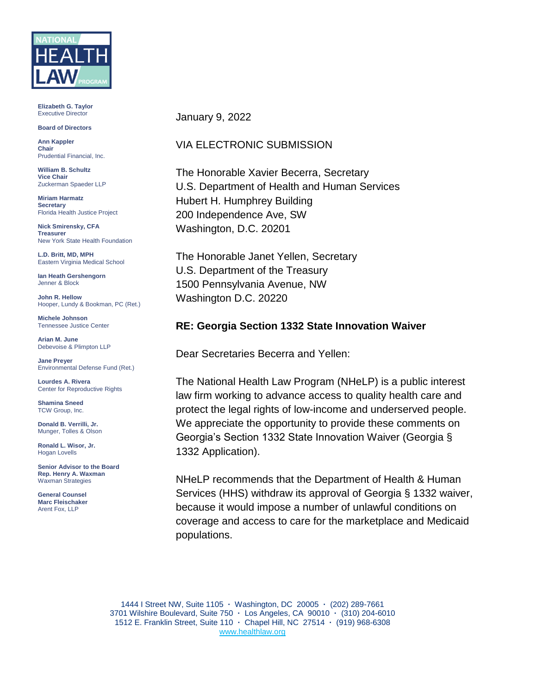

**Elizabeth G. Taylor** Executive Director

**Board of Directors**

**Ann Kappler Chair** Prudential Financial, Inc.

**William B. Schultz Vice Chair** Zuckerman Spaeder LLP

**Miriam Harmatz Secretary** Florida Health Justice Project

**Nick Smirensky, CFA Treasurer** New York State Health Foundation

**L.D. Britt, MD, MPH** Eastern Virginia Medical School

**Ian Heath Gershengorn** Jenner & Block

**John R. Hellow** Hooper, Lundy & Bookman, PC (Ret.)

**Michele Johnson** Tennessee Justice Center

**Arian M. June** Debevoise & Plimpton LLP

**Jane Preyer** Environmental Defense Fund (Ret.)

**Lourdes A. Rivera** Center for Reproductive Rights

**Shamina Sneed** TCW Group, Inc.

**Donald B. Verrilli, Jr.**  Munger, Tolles & Olson

**Ronald L. Wisor, Jr.** Hogan Lovells

**Senior Advisor to the Board Rep. Henry A. Waxman** Waxman Strategies

**General Counsel Marc Fleischaker** Arent Fox, LLP

January 9, 2022

## VIA ELECTRONIC SUBMISSION

The Honorable Xavier Becerra, Secretary U.S. Department of Health and Human Services Hubert H. Humphrey Building 200 Independence Ave, SW Washington, D.C. 20201

The Honorable Janet Yellen, Secretary U.S. Department of the Treasury 1500 Pennsylvania Avenue, NW Washington D.C. 20220

## **RE: Georgia Section 1332 State Innovation Waiver**

Dear Secretaries Becerra and Yellen:

The National Health Law Program (NHeLP) is a public interest law firm working to advance access to quality health care and protect the legal rights of low-income and underserved people. We appreciate the opportunity to provide these comments on Georgia's Section 1332 State Innovation Waiver (Georgia § 1332 Application).

NHeLP recommends that the Department of Health & Human Services (HHS) withdraw its approval of Georgia § 1332 waiver, because it would impose a number of unlawful conditions on coverage and access to care for the marketplace and Medicaid populations.

1444 I Street NW, Suite 1105 **·** Washington, DC 20005 **·** (202) 289-7661 3701 Wilshire Boulevard, Suite 750 **·** Los Angeles, CA 90010 **·** (310) 204-6010 1512 E. Franklin Street, Suite 110 **·** Chapel Hill, NC 27514 **·** (919) 968-6308 [www.healthlaw.org](http://www.healthlaw.org/)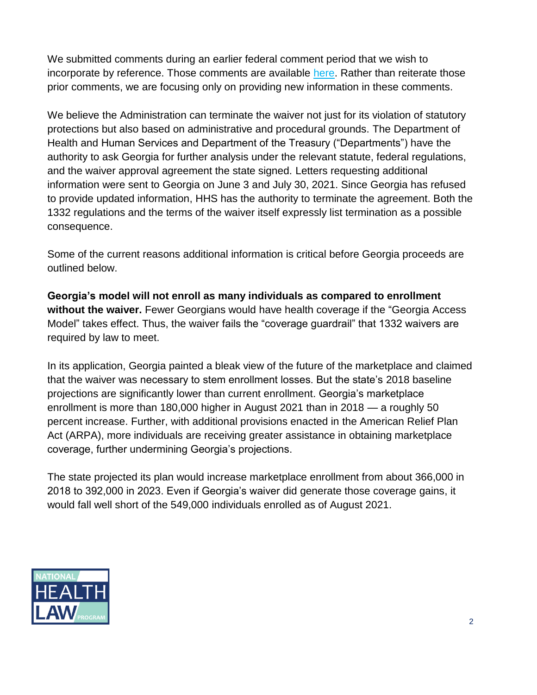We submitted comments during an earlier federal comment period that we wish to incorporate by reference. Those comments are available [here.](https://healthlaw.org/resource/comments-to-georgia-1332-application/) Rather than reiterate those prior comments, we are focusing only on providing new information in these comments.

We believe the Administration can terminate the waiver not just for its violation of statutory protections but also based on administrative and procedural grounds. The Department of Health and Human Services and Department of the Treasury ("Departments") have the authority to ask Georgia for further analysis under the relevant statute, federal regulations, and the waiver approval agreement the state signed. Letters requesting additional information were sent to Georgia on June 3 and July 30, 2021. Since Georgia has refused to provide updated information, HHS has the authority to terminate the agreement. Both the 1332 regulations and the terms of the waiver itself expressly list termination as a possible consequence.

Some of the current reasons additional information is critical before Georgia proceeds are outlined below.

**Georgia's model will not enroll as many individuals as compared to enrollment without the waiver.** Fewer Georgians would have health coverage if the "Georgia Access Model" takes effect. Thus, the waiver fails the "coverage guardrail" that 1332 waivers are required by law to meet.

In its application, Georgia painted a bleak view of the future of the marketplace and claimed that the waiver was necessary to stem enrollment losses. But the state's 2018 baseline projections are significantly lower than current enrollment. Georgia's marketplace enrollment is more than 180,000 higher in August 2021 than in 2018 — a roughly 50 percent increase. Further, with additional provisions enacted in the American Relief Plan Act (ARPA), more individuals are receiving greater assistance in obtaining marketplace coverage, further undermining Georgia's projections.

The state projected its plan would increase marketplace enrollment from about 366,000 in 2018 to 392,000 in 2023. Even if Georgia's waiver did generate those coverage gains, it would fall well short of the 549,000 individuals enrolled as of August 2021.

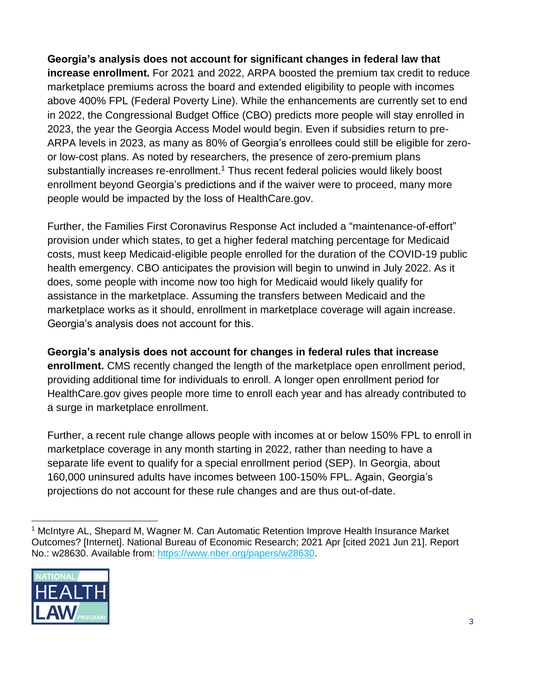**Georgia's analysis does not account for significant changes in federal law that increase enrollment.** For 2021 and 2022, ARPA boosted the premium tax credit to reduce marketplace premiums across the board and extended eligibility to people with incomes above 400% FPL (Federal Poverty Line). While the enhancements are currently set to end in 2022, the Congressional Budget Office (CBO) predicts more people will stay enrolled in 2023, the year the Georgia Access Model would begin. Even if subsidies return to pre-ARPA levels in 2023, as many as 80% of Georgia's enrollees could still be eligible for zeroor low-cost plans. As noted by researchers, the presence of zero-premium plans substantially increases re-enrollment.<sup>1</sup> Thus recent federal policies would likely boost enrollment beyond Georgia's predictions and if the waiver were to proceed, many more people would be impacted by the loss of HealthCare.gov.

Further, the Families First Coronavirus Response Act included a "maintenance-of-effort" provision under which states, to get a higher federal matching percentage for Medicaid costs, must keep Medicaid-eligible people enrolled for the duration of the COVID-19 public health emergency. CBO anticipates the provision will begin to unwind in July 2022. As it does, some people with income now too high for Medicaid would likely qualify for assistance in the marketplace. Assuming the transfers between Medicaid and the marketplace works as it should, enrollment in marketplace coverage will again increase. Georgia's analysis does not account for this.

**Georgia's analysis does not account for changes in federal rules that increase enrollment.** CMS recently changed the length of the marketplace open enrollment period, providing additional time for individuals to enroll. A longer open enrollment period for HealthCare.gov gives people more time to enroll each year and has already contributed to a surge in marketplace enrollment.

Further, a recent rule change allows people with incomes at or below 150% FPL to enroll in marketplace coverage in any month starting in 2022, rather than needing to have a separate life event to qualify for a special enrollment period (SEP). In Georgia, about 160,000 uninsured adults have incomes between 100-150% FPL. Again, Georgia's projections do not account for these rule changes and are thus out-of-date.

<sup>&</sup>lt;sup>1</sup> McIntyre AL, Shepard M, Wagner M. Can Automatic Retention Improve Health Insurance Market Outcomes? [Internet]. National Bureau of Economic Research; 2021 Apr [cited 2021 Jun 21]. Report No.: w28630. Available from: [https://www.nber.org/papers/w28630.](https://www.nber.org/papers/w28630)

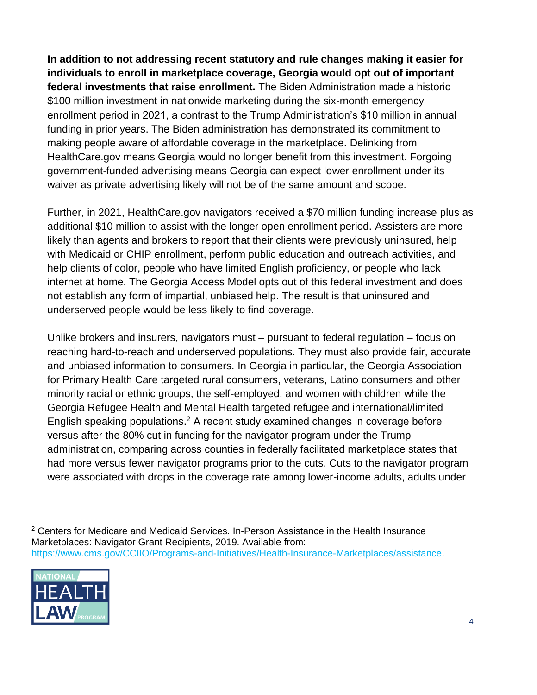**In addition to not addressing recent statutory and rule changes making it easier for individuals to enroll in marketplace coverage, Georgia would opt out of important federal investments that raise enrollment.** The Biden Administration made a historic \$100 million investment in nationwide marketing during the six-month emergency enrollment period in 2021, a contrast to the Trump Administration's \$10 million in annual funding in prior years. The Biden administration has demonstrated its commitment to making people aware of affordable coverage in the marketplace. Delinking from HealthCare.gov means Georgia would no longer benefit from this investment. Forgoing government-funded advertising means Georgia can expect lower enrollment under its waiver as private advertising likely will not be of the same amount and scope.

Further, in 2021, HealthCare.gov navigators received a \$70 million funding increase plus as additional \$10 million to assist with the longer open enrollment period. Assisters are more likely than agents and brokers to report that their clients were previously uninsured, help with Medicaid or CHIP enrollment, perform public education and outreach activities, and help clients of color, people who have limited English proficiency, or people who lack internet at home. The Georgia Access Model opts out of this federal investment and does not establish any form of impartial, unbiased help. The result is that uninsured and underserved people would be less likely to find coverage.

Unlike brokers and insurers, navigators must – pursuant to federal regulation – focus on reaching hard-to-reach and underserved populations. They must also provide fair, accurate and unbiased information to consumers. In Georgia in particular, the Georgia Association for Primary Health Care targeted rural consumers, veterans, Latino consumers and other minority racial or ethnic groups, the self-employed, and women with children while the Georgia Refugee Health and Mental Health targeted refugee and international/limited English speaking populations. <sup>2</sup> A recent study examined changes in coverage before versus after the 80% cut in funding for the navigator program under the Trump administration, comparing across counties in federally facilitated marketplace states that had more versus fewer navigator programs prior to the cuts. Cuts to the navigator program were associated with drops in the coverage rate among lower-income adults, adults under

<sup>2</sup> Centers for Medicare and Medicaid Services. In-Person Assistance in the Health Insurance Marketplaces: Navigator Grant Recipients, 2019. Available from: [https://www.cms.gov/CCIIO/Programs-and-Initiatives/Health-Insurance-Marketplaces/assistance.](https://www.cms.gov/CCIIO/Programs-and-Initiatives/Health-Insurance-Marketplaces/assistance)

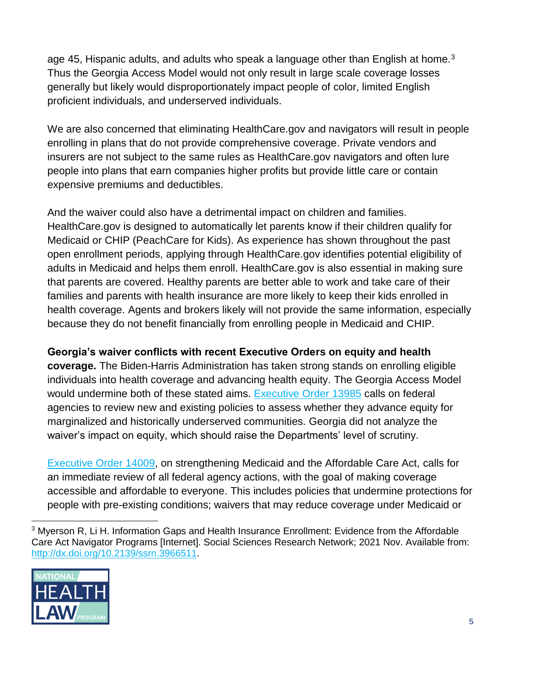age 45, Hispanic adults, and adults who speak a language other than English at home.<sup>3</sup> Thus the Georgia Access Model would not only result in large scale coverage losses generally but likely would disproportionately impact people of color, limited English proficient individuals, and underserved individuals.

We are also concerned that eliminating HealthCare.gov and navigators will result in people enrolling in plans that do not provide comprehensive coverage. Private vendors and insurers are not subject to the same rules as HealthCare.gov navigators and often lure people into plans that earn companies higher profits but provide little care or contain expensive premiums and deductibles.

And the waiver could also have a detrimental impact on children and families. HealthCare.gov is designed to automatically let parents know if their children qualify for Medicaid or CHIP (PeachCare for Kids). As experience has shown throughout the past open enrollment periods, applying through HealthCare.gov identifies potential eligibility of adults in Medicaid and helps them enroll. HealthCare.gov is also essential in making sure that parents are covered. Healthy parents are better able to work and take care of their families and parents with health insurance are more likely to keep their kids enrolled in health coverage. Agents and brokers likely will not provide the same information, especially because they do not benefit financially from enrolling people in Medicaid and CHIP.

## **Georgia's waiver conflicts with recent Executive Orders on equity and health**

**coverage.** The Biden-Harris Administration has taken strong stands on enrolling eligible individuals into health coverage and advancing health equity. The Georgia Access Model would undermine both of these stated aims. [Executive Order 13985](https://www.whitehouse.gov/briefing-room/presidential-actions/2021/01/20/executive-order-advancing-racial-equity-and-support-for-underserved-communities-through-the-federal-government/) calls on federal agencies to review new and existing policies to assess whether they advance equity for marginalized and historically underserved communities. Georgia did not analyze the waiver's impact on equity, which should raise the Departments' level of scrutiny.

[Executive Order 14009,](https://www.whitehouse.gov/briefing-room/presidential-actions/2021/01/28/executive-order-on-strengthening-medicaid-and-the-affordable-care-act/) on strengthening Medicaid and the Affordable Care Act, calls for an immediate review of all federal agency actions, with the goal of making coverage accessible and affordable to everyone. This includes policies that undermine protections for people with pre-existing conditions; waivers that may reduce coverage under Medicaid or

<sup>&</sup>lt;sup>3</sup> Myerson R, Li H. Information Gaps and Health Insurance Enrollment: Evidence from the Affordable Care Act Navigator Programs [Internet]. Social Sciences Research Network; 2021 Nov. Available from: [http://dx.doi.org/10.2139/ssrn.3966511.](http://dx.doi.org/10.2139/ssrn.3966511)